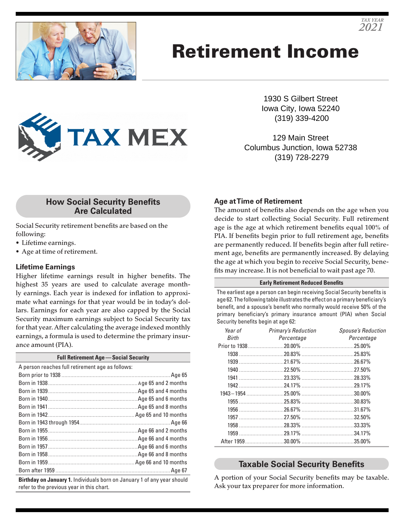

# Retirement Income



129 Main Street Columbus Junction, Iowa 52738 (319) 728-2279

## **How Social Security Benefits Are Calculated**

**TAX MEX** 

Social Security retirement benefits are based on the following:

- Lifetime earnings.
- Age at time of retirement.

## **Lifetime Earnings**

Higher lifetime earnings result in higher benefits. The highest 35 years are used to calculate average monthly earnings. Each year is indexed for inflation to approximate what earnings for that year would be in today's dollars. Earnings for each year are also capped by the Social Security maximum earnings subject to Social Security tax for that year. After calculating the average indexed monthly earnings, a formula is used to determine the primary insurance amount (PIA).

| <b>Full Retirement Age - Social Security</b>                                                                                |  |  |
|-----------------------------------------------------------------------------------------------------------------------------|--|--|
| A person reaches full retirement age as follows:                                                                            |  |  |
|                                                                                                                             |  |  |
|                                                                                                                             |  |  |
|                                                                                                                             |  |  |
|                                                                                                                             |  |  |
|                                                                                                                             |  |  |
|                                                                                                                             |  |  |
|                                                                                                                             |  |  |
|                                                                                                                             |  |  |
|                                                                                                                             |  |  |
|                                                                                                                             |  |  |
|                                                                                                                             |  |  |
|                                                                                                                             |  |  |
|                                                                                                                             |  |  |
| <b>Birthday on January 1.</b> Individuals born on January 1 of any year should<br>refer to the previous year in this chart. |  |  |

### **Age at Time of Retirement**

The amount of benefits also depends on the age when you decide to start collecting Social Security. Full retirement age is the age at which retirement benefits equal 100% of PIA. If benefits begin prior to full retirement age, benefits are permanently reduced. If benefits begin after full retirement age, benefits are permanently increased. By delaying the age at which you begin to receive Social Security, benefits may increase. It is not beneficial to wait past age 70.

#### **Early Retirement Reduced Benefits**

The earliest age a person can begin receiving Social Security benefits is age 62. The following table illustrates the effect on a primary beneficiary's benefit, and a spouse's benefit who normally would receive 50% of the primary beneficiary's primary insurance amount (PIA) when Social Security benefits begin at age 62:

| Year of      | <b>Primary's Reduction</b> | <b>Spouse's Reduction</b> |
|--------------|----------------------------|---------------------------|
| <b>Birth</b> | Percentage                 | Percentage                |
|              |                            |                           |
|              |                            |                           |
|              |                            |                           |
|              |                            |                           |
|              |                            |                           |
|              |                            |                           |
|              |                            |                           |
|              |                            |                           |
|              |                            |                           |
|              |                            |                           |
|              |                            |                           |
|              |                            |                           |
|              |                            |                           |

## **Taxable Social Security Benefits**

A portion of your Social Security benefits may be taxable. Ask your tax preparer for more information.